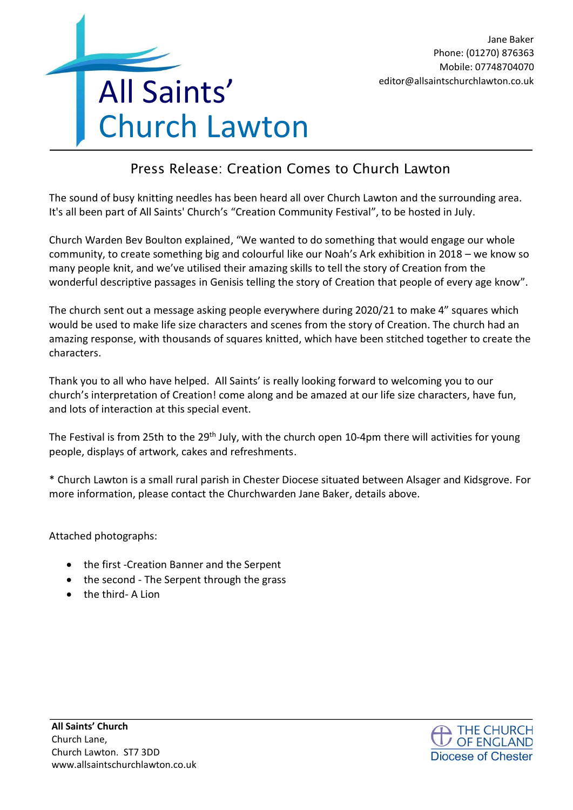

## Press Release: Creation Comes to Church Lawton

The sound of busy knitting needles has been heard all over Church Lawton and the surrounding area. It's all been part of All Saints' Church's "Creation Community Festival", to be hosted in July.

Church Warden Bev Boulton explained, "We wanted to do something that would engage our whole community, to create something big and colourful like our Noah's Ark exhibition in 2018 – we know so many people knit, and we've utilised their amazing skills to tell the story of Creation from the wonderful descriptive passages in Genisis telling the story of Creation that people of every age know".

The church sent out a message asking people everywhere during 2020/21 to make 4" squares which would be used to make life size characters and scenes from the story of Creation. The church had an amazing response, with thousands of squares knitted, which have been stitched together to create the characters.

Thank you to all who have helped. All Saints' is really looking forward to welcoming you to our church's interpretation of Creation! come along and be amazed at our life size characters, have fun, and lots of interaction at this special event.

The Festival is from 25th to the 29<sup>th</sup> July, with the church open 10-4pm there will activities for young people, displays of artwork, cakes and refreshments.

\* Church Lawton is a small rural parish in Chester Diocese situated between Alsager and Kidsgrove. For more information, please contact the Churchwarden Jane Baker, details above.

Attached photographs:

- the first -Creation Banner and the Serpent
- the second The Serpent through the grass
- the third- A Lion

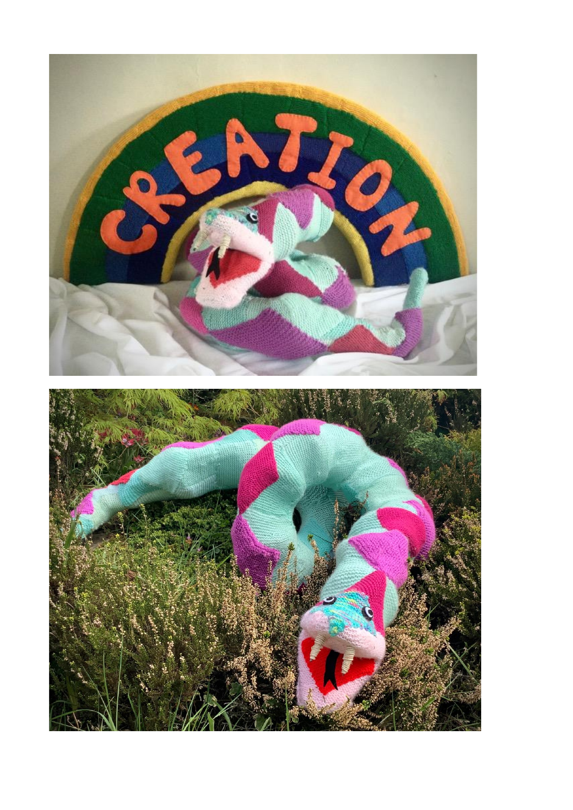